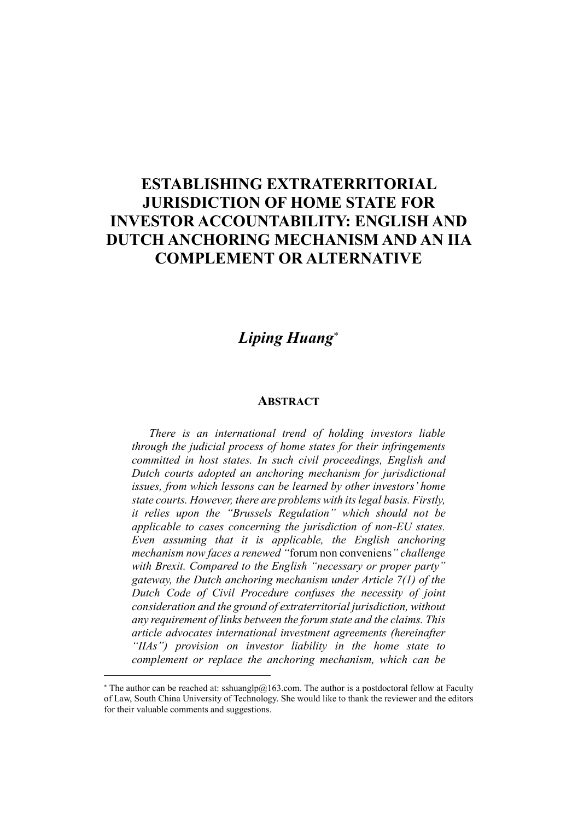## ESTABLISHING EXTRATERRITORIAL JURISDICTION OF HOME STATE FOR INVESTOR ACCOUNTABILITY: ENGLISH AND DUTCH ANCHORING MECHANISM AND AN IIA COMPLEMENT OR ALTERNATIVE

## *Liping Huang*

## **ABSTRACT**

*There is an international trend of holding investors liable through the judicial process of home states for their infringements committed in host states. In such civil proceedings, English and Dutch courts adopted an anchoring mechanism for jurisdictional issues, from which lessons can be learned by other investors' home state courts. However, there are problems with its legal basis. Firstly, it relies upon the "Brussels Regulation" which should not be applicable to cases concerning the jurisdiction of non-EU states. Even assuming that it is applicable, the English anchoring mechanism now faces a renewed "*forum non conveniens*" challenge with Brexit. Compared to the English "necessary or proper party" gateway, the Dutch anchoring mechanism under Article 7(1) of the Dutch Code of Civil Procedure confuses the necessity of joint consideration and the ground of extraterritorial jurisdiction, without any requirement of links between the forum state and the claims. This article advocates international investment agreements (hereinafter "IIAs") provision on investor liability in the home state to complement or replace the anchoring mechanism, which can be*

 $\overline{a}$ 

 $*$  The author can be reached at: sshuanglp@163.com. The author is a postdoctoral fellow at Faculty of Law, South China University of Technology. She would like to thank the reviewer and the editors for their valuable comments and suggestions.